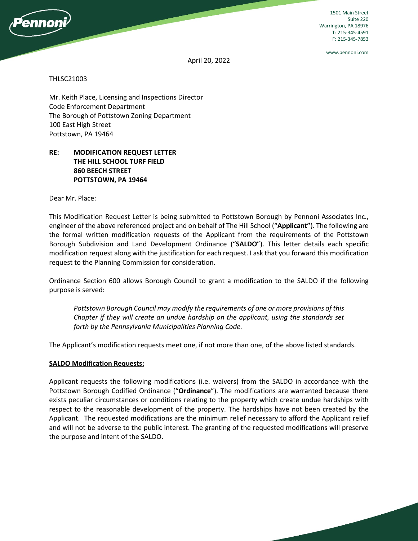

1501 Main Street Suite 220 Warrington, PA 18976 T: 215-345-4591 F: 215-345-7853

www.pennoni.com

April 20, 2022

#### THLSC21003

Mr. Keith Place, Licensing and Inspections Director Code Enforcement Department The Borough of Pottstown Zoning Department 100 East High Street Pottstown, PA 19464

## **RE: MODIFICATION REQUEST LETTER THE HILL SCHOOL TURF FIELD 860 BEECH STREET POTTSTOWN, PA 19464**

Dear Mr. Place:

This Modification Request Letter is being submitted to Pottstown Borough by Pennoni Associates Inc., engineer of the above referenced project and on behalf of The Hill School ("**Applicant"**). The following are the formal written modification requests of the Applicant from the requirements of the Pottstown Borough Subdivision and Land Development Ordinance ("**SALDO**"). This letter details each specific modification request along with the justification for each request. I ask that you forward this modification request to the Planning Commission for consideration.

Ordinance Section 600 allows Borough Council to grant a modification to the SALDO if the following purpose is served:

*Pottstown Borough Council may modify the requirements of one or more provisions of this Chapter if they will create an undue hardship on the applicant, using the standards set forth by the Pennsylvania Municipalities Planning Code.* 

The Applicant's modification requests meet one, if not more than one, of the above listed standards.

#### **SALDO Modification Requests:**

Applicant requests the following modifications (i.e. waivers) from the SALDO in accordance with the Pottstown Borough Codified Ordinance ("**Ordinance**"). The modifications are warranted because there exists peculiar circumstances or conditions relating to the property which create undue hardships with respect to the reasonable development of the property. The hardships have not been created by the Applicant. The requested modifications are the minimum relief necessary to afford the Applicant relief and will not be adverse to the public interest. The granting of the requested modifications will preserve the purpose and intent of the SALDO.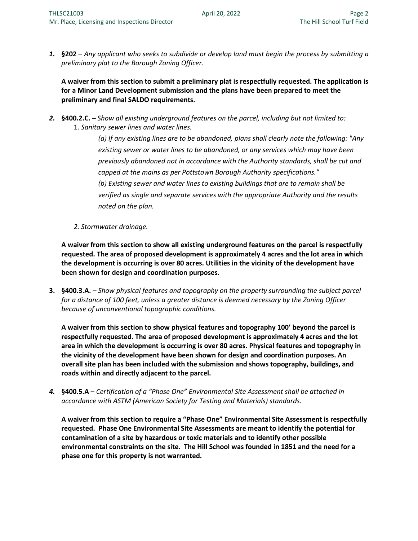*1.* **§202** – *Any applicant who seeks to subdivide or develop land must begin the process by submitting a preliminary plat to the Borough Zoning Officer.* 

**A waiver from this section to submit a preliminary plat is respectfully requested. The application is for a Minor Land Development submission and the plans have been prepared to meet the preliminary and final SALDO requirements.** 

*2.* **§400.2.C.** – *Show all existing underground features on the parcel, including but not limited to:*  1. *Sanitary sewer lines and water lines.* 

> *(a) If any existing lines are to be abandoned, plans shall clearly note the following: "Any existing sewer or water lines to be abandoned, or any services which may have been previously abandoned not in accordance with the Authority standards, shall be cut and capped at the mains as per Pottstown Borough Authority specifications." (b) Existing sewer and water lines to existing buildings that are to remain shall be verified as single and separate services with the appropriate Authority and the results noted on the plan.*

*2. Stormwater drainage.* 

**A waiver from this section to show all existing underground features on the parcel is respectfully requested. The area of proposed development is approximately 4 acres and the lot area in which the development is occurring is over 80 acres. Utilities in the vicinity of the development have been shown for design and coordination purposes.**

**3. §400.3.A.** – *Show physical features and topography on the property surrounding the subject parcel for a distance of 100 feet, unless a greater distance is deemed necessary by the Zoning Officer because of unconventional topographic conditions.*

**A waiver from this section to show physical features and topography 100' beyond the parcel is respectfully requested. The area of proposed development is approximately 4 acres and the lot area in which the development is occurring is over 80 acres. Physical features and topography in the vicinity of the development have been shown for design and coordination purposes. An overall site plan has been included with the submission and shows topography, buildings, and roads within and directly adjacent to the parcel.** 

*4.* **§400.5.A** – *Certification of a "Phase One" Environmental Site Assessment shall be attached in accordance with ASTM (American Society for Testing and Materials) standards.* 

**A waiver from this section to require a "Phase One" Environmental Site Assessment is respectfully requested. Phase One Environmental Site Assessments are meant to identify the potential for contamination of a site by hazardous or toxic materials and to identify other possible environmental constraints on the site. The Hill School was founded in 1851 and the need for a phase one for this property is not warranted.**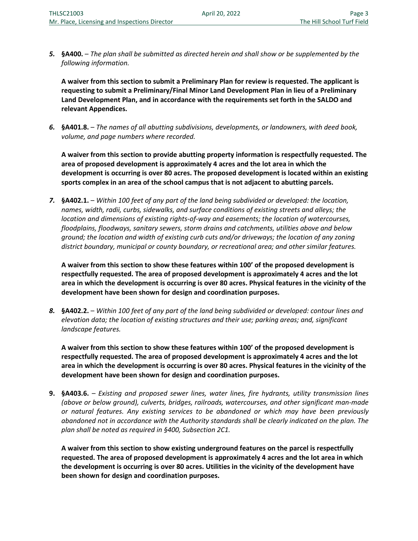*5.* **§A400.** – *The plan shall be submitted as directed herein and shall show or be supplemented by the following information.* 

**A waiver from this section to submit a Preliminary Plan for review is requested. The applicant is requesting to submit a Preliminary/Final Minor Land Development Plan in lieu of a Preliminary Land Development Plan, and in accordance with the requirements set forth in the SALDO and relevant Appendices.** 

*6.* **§A401.8.** – *The names of all abutting subdivisions, developments, or landowners, with deed book, volume, and page numbers where recorded.* 

**A waiver from this section to provide abutting property information is respectfully requested. The area of proposed development is approximately 4 acres and the lot area in which the development is occurring is over 80 acres. The proposed development is located within an existing sports complex in an area of the school campus that is not adjacent to abutting parcels.**

*7.* **§A402.1.** – *Within 100 feet of any part of the land being subdivided or developed: the location, names, width, radii, curbs, sidewalks, and surface conditions of existing streets and alleys; the location and dimensions of existing rights-of-way and easements; the location of watercourses, floodplains, floodways, sanitary sewers, storm drains and catchments, utilities above and below ground; the location and width of existing curb cuts and/or driveways; the location of any zoning district boundary, municipal or county boundary, or recreational area; and other similar features.* 

**A waiver from this section to show these features within 100' of the proposed development is respectfully requested. The area of proposed development is approximately 4 acres and the lot area in which the development is occurring is over 80 acres. Physical features in the vicinity of the development have been shown for design and coordination purposes.** 

*8.* **§A402.2.** – *Within 100 feet of any part of the land being subdivided or developed: contour lines and elevation data; the location of existing structures and their use; parking areas; and, significant landscape features.* 

**A waiver from this section to show these features within 100' of the proposed development is respectfully requested. The area of proposed development is approximately 4 acres and the lot area in which the development is occurring is over 80 acres. Physical features in the vicinity of the development have been shown for design and coordination purposes.** 

**9. §A403.6.** – *Existing and proposed sewer lines, water lines, fire hydrants, utility transmission lines (above or below ground), culverts, bridges, railroads, watercourses, and other significant man-made or natural features. Any existing services to be abandoned or which may have been previously abandoned not in accordance with the Authority standards shall be clearly indicated on the plan. The plan shall be noted as required in §400, Subsection 2C1.* 

**A waiver from this section to show existing underground features on the parcel is respectfully requested. The area of proposed development is approximately 4 acres and the lot area in which the development is occurring is over 80 acres. Utilities in the vicinity of the development have been shown for design and coordination purposes.**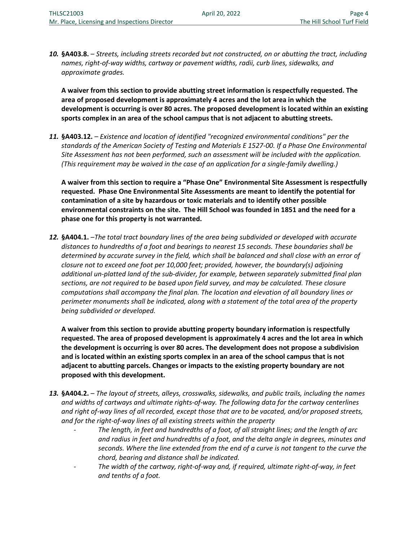*10.* **§A403.8.** – *Streets, including streets recorded but not constructed, on or abutting the tract, including names, right-of-way widths, cartway or pavement widths, radii, curb lines, sidewalks, and approximate grades.* 

**A waiver from this section to provide abutting street information is respectfully requested. The area of proposed development is approximately 4 acres and the lot area in which the development is occurring is over 80 acres. The proposed development is located within an existing sports complex in an area of the school campus that is not adjacent to abutting streets.** 

*11.* **§A403.12.** – *Existence and location of identified "recognized environmental conditions" per the standards of the American Society of Testing and Materials E 1527-00. If a Phase One Environmental Site Assessment has not been performed, such an assessment will be included with the application. (This requirement may be waived in the case of an application for a single-family dwelling.)* 

**A waiver from this section to require a "Phase One" Environmental Site Assessment is respectfully requested. Phase One Environmental Site Assessments are meant to identify the potential for contamination of a site by hazardous or toxic materials and to identify other possible environmental constraints on the site. The Hill School was founded in 1851 and the need for a phase one for this property is not warranted.** 

*12.* **§A404.1.** –*The total tract boundary lines of the area being subdivided or developed with accurate distances to hundredths of a foot and bearings to nearest 15 seconds. These boundaries shall be determined by accurate survey in the field, which shall be balanced and shall close with an error of closure not to exceed one foot per 10,000 feet; provided, however, the boundary(s) adjoining additional un-platted land of the sub-divider, for example, between separately submitted final plan sections, are not required to be based upon field survey, and may be calculated. These closure computations shall accompany the final plan. The location and elevation of all boundary lines or perimeter monuments shall be indicated, along with a statement of the total area of the property being subdivided or developed.* 

**A waiver from this section to provide abutting property boundary information is respectfully requested. The area of proposed development is approximately 4 acres and the lot area in which the development is occurring is over 80 acres. The development does not propose a subdivision and is located within an existing sports complex in an area of the school campus that is not adjacent to abutting parcels. Changes or impacts to the existing property boundary are not proposed with this development.** 

- *13.* **§A404.2.**  *The layout of streets, alleys, crosswalks, sidewalks, and public trails, including the names and widths of cartways and ultimate rights-of-way. The following data for the cartway centerlines and right of-way lines of all recorded, except those that are to be vacated, and/or proposed streets, and for the right-of-way lines of all existing streets within the property* 
	- *The length, in feet and hundredths of a foot, of all straight lines; and the length of arc and radius in feet and hundredths of a foot, and the delta angle in degrees, minutes and seconds. Where the line extended from the end of a curve is not tangent to the curve the chord, bearing and distance shall be indicated.*
	- *The width of the cartway, right-of-way and, if required, ultimate right-of-way, in feet and tenths of a foot.*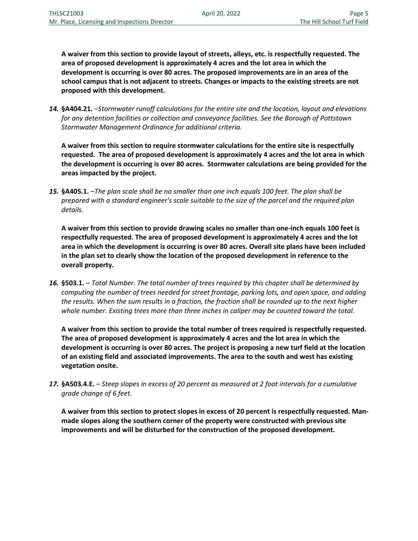**A waiver from this section to provide layout of streets, alleys, etc. is respectfully requested. The area of proposed development is approximately 4 acres and the lot area in which the development is occurring is over 80 acres. The proposed improvements are in an area of the school campus that is not adjacent to streets. Changes or impacts to the existing streets are not proposed with this development.** 

*14.* **§A404.21.** –*Stormwater runoff calculations for the entire site and the location, layout and elevations for any detention facilities or collection and conveyance facilities. See the Borough of Pottstown Stormwater Management Ordinance for additional criteria.* 

**A waiver from this section to require stormwater calculations for the entire site is respectfully requested. The area of proposed development is approximately 4 acres and the lot area in which the development is occurring is over 80 acres. Stormwater calculations are being provided for the areas impacted by the project.** 

*15.* **§A405.1.** –*The plan scale shall be no smaller than one inch equals 100 feet. The plan shall be prepared with a standard engineer's scale suitable to the size of the parcel and the required plan details.* 

**A waiver from this section to provide drawing scales no smaller than one-inch equals 100 feet is respectfully requested. The area of proposed development is approximately 4 acres and the lot area in which the development is occurring is over 80 acres. Overall site plans have been included in the plan set to clearly show the location of the proposed development in reference to the overall property.** 

*16.* **§503.1.** – *Total Number. The total number of trees required by this chapter shall be determined by computing the number of trees needed for street frontage, parking lots, and open space, and adding the results. When the sum results in a fraction, the fraction shall be rounded up to the next higher whole number. Existing trees more than three inches in caliper may be counted toward the total.* 

**A waiver from this section to provide the total number of trees required is respectfully requested. The area of proposed development is approximately 4 acres and the lot area in which the development is occurring is over 80 acres. The project is proposing a new turf field at the location of an existing field and associated improvements. The area to the south and west has existing vegetation onsite.** 

*17.* **§A503.4.E.** – *Steep slopes in excess of 20 percent as measured at 2 foot intervals for a cumulative grade change of 6 feet.* 

**A waiver from this section to protect slopes in excess of 20 percent is respectfully requested. Manmade slopes along the southern corner of the property were constructed with previous site improvements and will be disturbed for the construction of the proposed development.**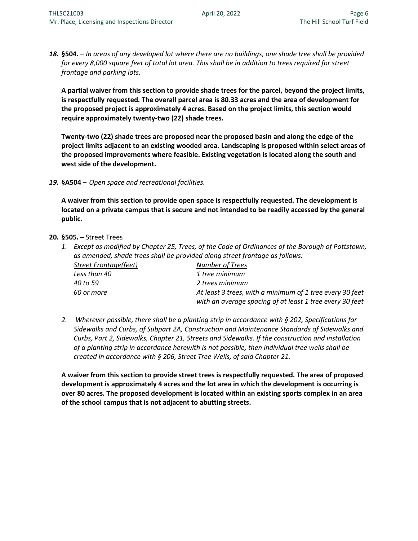*18.* **§504.** – *In areas of any developed lot where there are no buildings, one shade tree shall be provided for every 8,000 square feet of total lot area. This shall be in addition to trees required for street frontage and parking lots.* 

**A partial waiver from this section to provide shade trees for the parcel, beyond the project limits, is respectfully requested. The overall parcel area is 80.33 acres and the area of development for the proposed project is approximately 4 acres. Based on the project limits, this section would require approximately twenty-two (22) shade trees.** 

**Twenty-two (22) shade trees are proposed near the proposed basin and along the edge of the project limits adjacent to an existing wooded area. Landscaping is proposed within select areas of the proposed improvements where feasible. Existing vegetation is located along the south and west side of the development.** 

*19.* **§A504** – *Open space and recreational facilities.* 

**A waiver from this section to provide open space is respectfully requested. The development is located on a private campus that is secure and not intended to be readily accessed by the general public.**

### **20. §505.** – Street Trees

*1. Except as modified by Chapter 25, Trees, of the Code of Ordinances of the Borough of Pottstown, as amended, shade trees shall be provided along street frontage as follows:* 

| Street Frontage(feet) | Number of Trees                                          |
|-----------------------|----------------------------------------------------------|
| Less than 40          | 1 tree minimum                                           |
| 40 to 59              | 2 trees minimum                                          |
| 60 or more            | At least 3 trees, with a minimum of 1 tree every 30 feet |
|                       | with an average spacing of at least 1 tree every 30 feet |

*2. Wherever possible, there shall be a planting strip in accordance with § 202, Specifications for Sidewalks and Curbs, of Subpart 2A, Construction and Maintenance Standards of Sidewalks and Curbs, Part 2, Sidewalks, Chapter 21, Streets and Sidewalks. If the construction and installation of a planting strip in accordance herewith is not possible, then individual tree wells shall be created in accordance with § 206, Street Tree Wells, of said Chapter 21.* 

**A waiver from this section to provide street trees is respectfully requested. The area of proposed development is approximately 4 acres and the lot area in which the development is occurring is over 80 acres. The proposed development is located within an existing sports complex in an area of the school campus that is not adjacent to abutting streets.**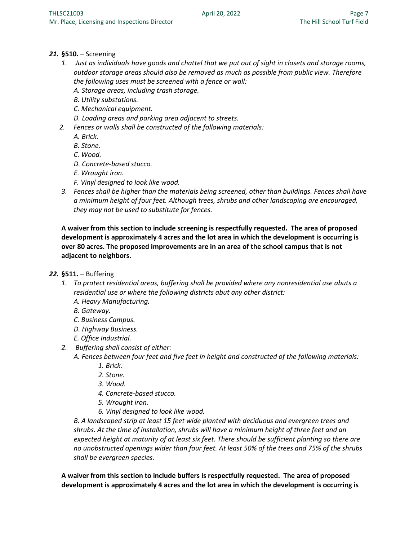# *21.* **§510.** – Screening

- *1. Just as individuals have goods and chattel that we put out of sight in closets and storage rooms, outdoor storage areas should also be removed as much as possible from public view. Therefore the following uses must be screened with a fence or wall:* 
	- *A. Storage areas, including trash storage.*
	- *B. Utility substations.*
	- *C. Mechanical equipment.*
	- *D. Loading areas and parking area adjacent to streets.*
- *2. Fences or walls shall be constructed of the following materials:* 
	- *A. Brick.*
	- *B. Stone.*
	- *C. Wood.*
	- *D. Concrete-based stucco.*
	- *E. Wrought iron.*
	- *F. Vinyl designed to look like wood.*
- *3. Fences shall be higher than the materials being screened, other than buildings. Fences shall have a minimum height of four feet. Although trees, shrubs and other landscaping are encouraged, they may not be used to substitute for fences.*

**A waiver from this section to include screening is respectfully requested. The area of proposed development is approximately 4 acres and the lot area in which the development is occurring is over 80 acres. The proposed improvements are in an area of the school campus that is not adjacent to neighbors.** 

- *22.* **§511.**  Buffering
	- *1. To protect residential areas, buffering shall be provided where any nonresidential use abuts a residential use or where the following districts abut any other district:* 
		- *A. Heavy Manufacturing.*
		- *B. Gateway.*
		- *C. Business Campus.*
		- *D. Highway Business.*
		- *E. Office Industrial.*
	- *2. Buffering shall consist of either:* 
		- *A. Fences between four feet and five feet in height and constructed of the following materials:* 
			- *1. Brick.*
			- *2. Stone.*
			- *3. Wood.*
			- *4. Concrete-based stucco.*
			- *5. Wrought iron.*
			- *6. Vinyl designed to look like wood.*

*B. A landscaped strip at least 15 feet wide planted with deciduous and evergreen trees and shrubs. At the time of installation, shrubs will have a minimum height of three feet and an expected height at maturity of at least six feet. There should be sufficient planting so there are no unobstructed openings wider than four feet. At least 50% of the trees and 75% of the shrubs shall be evergreen species.* 

**A waiver from this section to include buffers is respectfully requested. The area of proposed development is approximately 4 acres and the lot area in which the development is occurring is**